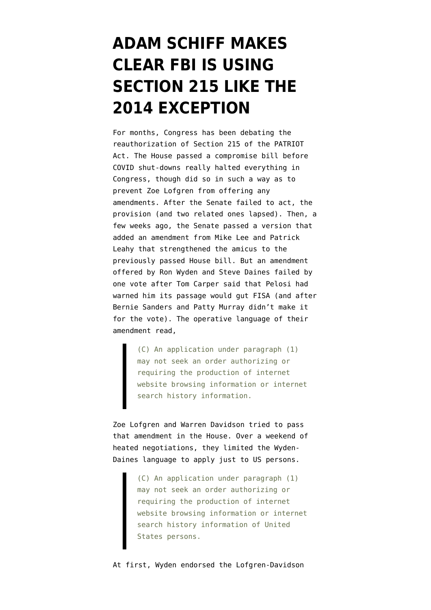## **[ADAM SCHIFF MAKES](https://www.emptywheel.net/2020/05/27/adam-schiff-highlights-the-import-of-the-2014-exception/) [CLEAR FBI IS USING](https://www.emptywheel.net/2020/05/27/adam-schiff-highlights-the-import-of-the-2014-exception/) [SECTION 215 LIKE THE](https://www.emptywheel.net/2020/05/27/adam-schiff-highlights-the-import-of-the-2014-exception/) [2014 EXCEPTION](https://www.emptywheel.net/2020/05/27/adam-schiff-highlights-the-import-of-the-2014-exception/)**

For months, Congress has been debating the reauthorization of Section 215 of the PATRIOT Act. The House passed a [compromise bill](https://www.congress.gov/bill/116th-congress/house-bill/6172/text/eh) before COVID shut-downs really halted everything in Congress, though did so in such a way as to prevent Zoe Lofgren from offering any amendments. After the Senate failed to act, the provision (and two related ones lapsed). Then, a few weeks ago, the Senate passed a version that added an [amendment](https://www.documentcloud.org/documents/6888647-OLL20450.html) from Mike Lee and Patrick Leahy that strengthened the amicus to the previously passed House bill. But an [amendment](https://www.documentcloud.org/documents/6888545-DainesFISAAmendment.html) offered by Ron Wyden and Steve Daines failed by one vote after Tom Carper said that Pelosi had warned him its passage would gut FISA (and after Bernie Sanders and Patty Murray didn't make it for the vote). The operative language of their amendment read,

> (C) An application under paragraph (1) may not seek an order authorizing or requiring the production of internet website browsing information or internet search history information.

Zoe Lofgren and Warren Davidson tried to pass that amendment in the House. Over a weekend of heated negotiations, they limited the Wyden-Daines language to apply just to US persons.

> (C) An application under paragraph (1) may not seek an order authorizing or requiring the production of internet website browsing information or internet search history information of United States persons.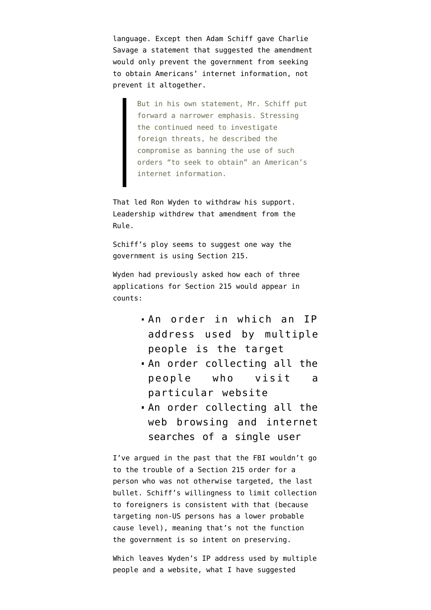language. Except then Adam Schiff [gave Charlie](https://www.nytimes.com/2020/05/26/us/politics/fisa-bill-amendment.html) [Savage](https://www.nytimes.com/2020/05/26/us/politics/fisa-bill-amendment.html) a statement that suggested the amendment would only prevent the government from seeking to obtain Americans' internet information, not prevent it altogether.

> But in his own statement, Mr. Schiff put forward a narrower emphasis. Stressing the continued need to investigate foreign threats, he described the compromise as banning the use of such orders "to seek to obtain" an American's internet information.

That led Ron Wyden to [withdraw his support](https://gizmodo.com/wyden-pulls-support-for-privacy-amendment-after-house-i-1843690821). Leadership withdrew that amendment from the Rule.

Schiff's ploy seems to suggest one way the government is using Section 215.

Wyden had [previously asked](https://www.emptywheel.net/2020/05/21/wyden-hints-at-how-the-intelligence-community-hides-its-web-tracking-under-section-215/) how each of three applications for Section 215 would appear in counts:

- An order in which an IP address used by multiple people is the target
- An order collecting all the people who visit a particular website
- An order collecting all the web browsing and internet searches of a single user

I've argued in the past that the FBI wouldn't go to the trouble of a Section 215 order for a person who was not otherwise targeted, the last bullet. Schiff's willingness to limit collection to foreigners is consistent with that (because targeting non-US persons has a lower probable cause level), meaning that's not the function the government is so intent on preserving.

Which leaves Wyden's IP address used by multiple people and a website, what I have suggested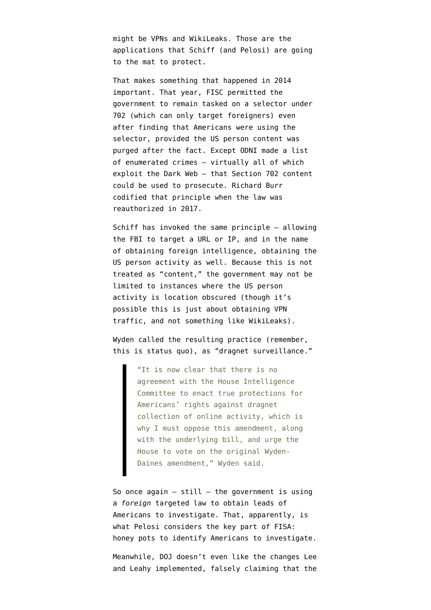might be VPNs and WikiLeaks. Those are the applications that Schiff (and Pelosi) are going to the mat to protect.

That makes something that happened in 2014 important. That year, FISC [permitted the](https://www.emptywheel.net/2017/07/03/facilities-you-use-may-be-collected-under-section-702/) [government to remain tasked on a selector](https://www.emptywheel.net/2017/07/03/facilities-you-use-may-be-collected-under-section-702/) under 702 (which can only target foreigners) even after finding that Americans were using the selector, provided the US person content was purged after the fact. Except ODNI made a list of enumerated crimes — virtually all of which exploit the Dark Web — that Section 702 content could be used to prosecute. Richard Burr [codified that principle](https://www.emptywheel.net/2017/10/23/the-senate-intelligence-committee-702-bill-is-a-domestic-spying-bill/) when the law was reauthorized in 2017.

Schiff has invoked the same principle — allowing the FBI to target a URL or IP, and in the name of obtaining foreign intelligence, obtaining the US person activity as well. Because this is not treated as "content," the government may not be limited to instances where the US person activity is location obscured (though it's possible this is just about obtaining VPN traffic, and not something like WikiLeaks).

Wyden [called](https://gizmodo.com/wyden-pulls-support-for-privacy-amendment-after-house-i-1843690821) the resulting practice (remember, this is status quo), as "dragnet surveillance."

> "It is now clear that there is no agreement with the House Intelligence Committee to enact true protections for Americans' rights against dragnet collection of online activity, which is why I must oppose this amendment, along with the underlying bill, and urge the House to vote on the original Wyden-Daines amendment," Wyden said.

So once again  $-$  still  $-$  the government is using a *foreign* targeted law to obtain leads of Americans to investigate. That, apparently, is what Pelosi considers the key part of FISA: honey pots to identify Americans to investigate.

Meanwhile, DOJ doesn't even like the changes Lee and Leahy implemented, falsely claiming that the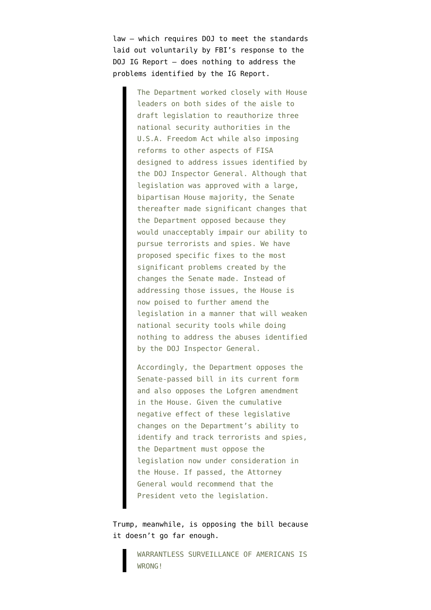law — which requires DOJ to meet the standards laid out voluntarily by FBI's response to the DOJ IG Report — does nothing to address the problems identified by the IG Report.

> The Department worked closely with House leaders on both sides of the aisle to draft legislation to reauthorize three national security authorities in the U.S.A. Freedom Act while also imposing reforms to other aspects of FISA designed to address issues identified by the DOJ Inspector General. Although that legislation was approved with a large, bipartisan House majority, the Senate thereafter made significant changes that the Department opposed because they would unacceptably impair our ability to pursue terrorists and spies. We have proposed specific fixes to the most significant problems created by the changes the Senate made. Instead of addressing those issues, the House is now poised to further amend the legislation in a manner that will weaken national security tools while doing nothing to address the abuses identified by the DOJ Inspector General.

Accordingly, the Department opposes the Senate-passed bill in its current form and also opposes the Lofgren amendment in the House. Given the cumulative negative effect of these legislative changes on the Department's ability to identify and track terrorists and spies, the Department must oppose the legislation now under consideration in the House. If passed, the Attorney General would recommend that the President veto the legislation.

Trump, meanwhile, is [opposing](https://twitter.com/realDonaldTrump/status/1265706645134274561) the bill because it doesn't go far enough.

> WARRANTLESS SURVEILLANCE OF AMERICANS IS WRONG!